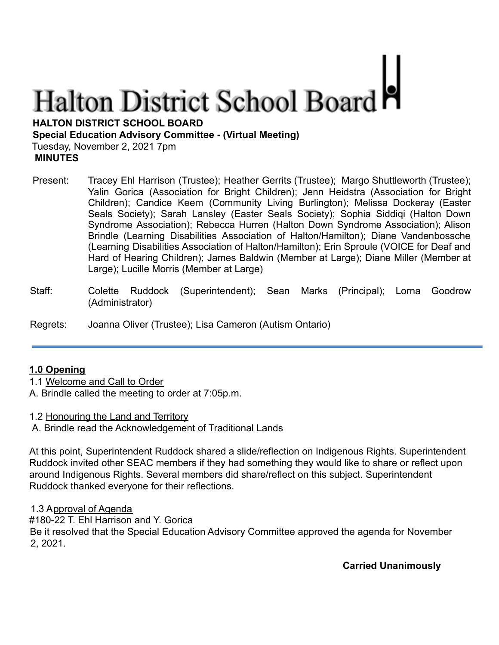# **Halton District School Board**

**HALTON DISTRICT SCHOOL BOARD**

**Special Education Advisory Committee - (Virtual Meeting)**

Tuesday, November 2, 2021 7pm

**MINUTES**

- Present: Tracey Ehl Harrison (Trustee); Heather Gerrits (Trustee); Margo Shuttleworth (Trustee); Yalin Gorica (Association for Bright Children); Jenn Heidstra (Association for Bright Children); Candice Keem (Community Living Burlington); Melissa Dockeray (Easter Seals Society); Sarah Lansley (Easter Seals Society); Sophia Siddiqi (Halton Down Syndrome Association); Rebecca Hurren (Halton Down Syndrome Association); Alison Brindle (Learning Disabilities Association of Halton/Hamilton); Diane Vandenbossche (Learning Disabilities Association of Halton/Hamilton); Erin Sproule (VOICE for Deaf and Hard of Hearing Children); James Baldwin (Member at Large); Diane Miller (Member at Large); Lucille Morris (Member at Large)
- Staff: Colette Ruddock (Superintendent); Sean Marks (Principal); Lorna Goodrow (Administrator)

Regrets: Joanna Oliver (Trustee); Lisa Cameron (Autism Ontario)

# **1.0 Opening**

1.1 Welcome and Call to Order

A. Brindle called the meeting to order at 7:05p.m.

1.2 Honouring the Land and Territory

A. Brindle read the Acknowledgement of Traditional Lands

At this point, Superintendent Ruddock shared a slide/reflection on Indigenous Rights. Superintendent Ruddock invited other SEAC members if they had something they would like to share or reflect upon around Indigenous Rights. Several members did share/reflect on this subject. Superintendent Ruddock thanked everyone for their reflections.

1.3 Approval of Agenda

#180-22 T. Ehl Harrison and Y. Gorica

Be it resolved that the Special Education Advisory Committee approved the agenda for November 2, 2021.

**Carried Unanimously**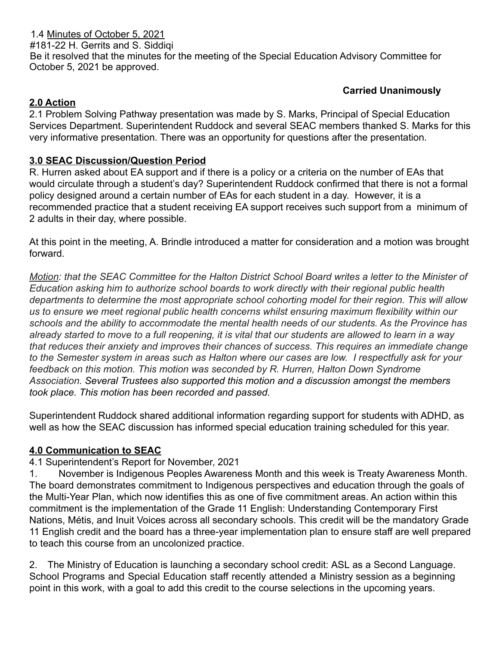1.4 Minutes of October 5, 2021 #181-22 H. Gerrits and S. Siddiqi Be it resolved that the minutes for the meeting of the Special Education Advisory Committee for October 5, 2021 be approved.

# **Carried Unanimously**

## **2.0 Action**

2.1 Problem Solving Pathway presentation was made by S. Marks, Principal of Special Education Services Department. Superintendent Ruddock and several SEAC members thanked S. Marks for this very informative presentation. There was an opportunity for questions after the presentation.

## **3.0 SEAC Discussion/Question Period**

R. Hurren asked about EA support and if there is a policy or a criteria on the number of EAs that would circulate through a student's day? Superintendent Ruddock confirmed that there is not a formal policy designed around a certain number of EAs for each student in a day. However, it is a recommended practice that a student receiving EA support receives such support from a minimum of 2 adults in their day, where possible.

At this point in the meeting, A. Brindle introduced a matter for consideration and a motion was brought forward.

*Motion: that the SEAC Committee for the Halton District School Board writes a letter to the Minister of Education asking him to authorize school boards to work directly with their regional public health departments to determine the most appropriate school cohorting model for their region. This will allow us to ensure we meet regional public health concerns whilst ensuring maximum flexibility within our schools and the ability to accommodate the mental health needs of our students. As the Province has already started to move to a full reopening, it is vital that our students are allowed to learn in a way that reduces their anxiety and improves their chances of success. This requires an immediate change to the Semester system in areas such as Halton where our cases are low. I respectfully ask for your feedback on this motion. This motion was seconded by R. Hurren, Halton Down Syndrome Association. Several Trustees also supported this motion and a discussion amongst the members took place. This motion has been recorded and passed.*

Superintendent Ruddock shared additional information regarding support for students with ADHD, as well as how the SEAC discussion has informed special education training scheduled for this year.

#### **4.0 Communication to SEAC**

#### 4.1 Superintendent's Report for November, 2021

1. November is Indigenous Peoples Awareness Month and this week is Treaty Awareness Month. The board demonstrates commitment to Indigenous perspectives and education through the goals of the Multi-Year Plan, which now identifies this as one of five commitment areas. An action within this commitment is the implementation of the Grade 11 English: Understanding Contemporary First Nations, Métis, and Inuit Voices across all secondary schools. This credit will be the mandatory Grade 11 English credit and the board has a three-year implementation plan to ensure staff are well prepared to teach this course from an uncolonized practice.

2. The Ministry of Education is launching a secondary school credit: ASL as a Second Language. School Programs and Special Education staff recently attended a Ministry session as a beginning point in this work, with a goal to add this credit to the course selections in the upcoming years.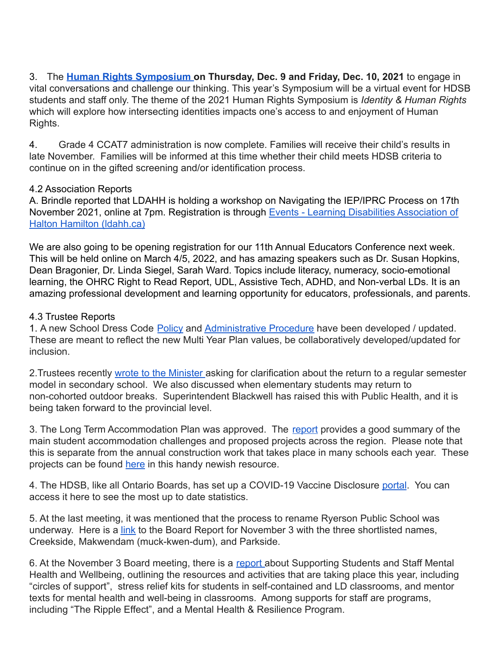3. The **[Human Rights Symposium](https://www.hdsb.ca/our-board/Pages/Human%20Rights%20%26%20Equity/HDSB-Human-Rights-Symposium.aspx) on Thursday, Dec. 9 and Friday, Dec. 10, 2021** to engage in vital conversations and challenge our thinking. This year's Symposium will be a virtual event for HDSB students and staff only. The theme of the 2021 Human Rights Symposium is *Identity & Human Rights* which will explore how intersecting identities impacts one's access to and enjoyment of Human Rights.

4. Grade 4 CCAT7 administration is now complete. Families will receive their child's results in late November. Families will be informed at this time whether their child meets HDSB criteria to continue on in the gifted screening and/or identification process.

#### 4.2 Association Reports

A. Brindle reported that LDAHH is holding a workshop on Navigating the IEP/IPRC Process on 17th November 2021, online at 7pm. Registration is through [Events - Learning Disabilities Association of](https://www.ldahh.ca/get-involved/events/) [Halton Hamilton \(ldahh.ca\)](https://www.ldahh.ca/get-involved/events/)

We are also going to be opening registration for our 11th Annual Educators Conference next week. This will be held online on March 4/5, 2022, and has amazing speakers such as Dr. Susan Hopkins, Dean Bragonier, Dr. Linda Siegel, Sarah Ward. Topics include literacy, numeracy, socio-emotional learning, the OHRC Right to Read Report, UDL, Assistive Tech, ADHD, and Non-verbal LDs. It is an amazing professional development and learning opportunity for educators, professionals, and parents.

# 4.3 Trustee Reports

1. A new School Dress Code [Policy](https://drive.google.com/file/d/1H0Xz8-R9LBZ1sK1LXZVNHPc3bYG6vY1Z/view) and [Administrative](https://drive.google.com/file/d/1uwhHhTPFehSDScbfJhPovLqQVBGOgeYg/view) Procedure have been developed / updated. These are meant to reflect the new Multi Year Plan values, be collaboratively developed/updated for inclusion.

2.Trustees recently [wrote to the Minister](https://drive.google.com/file/d/1qXrLHfIXGTtdMksHFffX3QzNjPRvusDY/view) asking for clarification about the return to a regular semester model in secondary school. We also discussed when elementary students may return to non-cohorted outdoor breaks. Superintendent Blackwell has raised this with Public Health, and it is being taken forward to the provincial level.

3. The Long Term Accommodation Plan was approved. The [report](https://drive.google.com/file/d/1BQCXnkuoWXXmcTwxmLOIy3j93UNAspSu/view) provides a good summary of the main student accommodation challenges and proposed projects across the region. Please note that this is separate from the annual construction work that takes place in many schools each year. These projects can be found [here](https://hdsb.ca/schools/Pages/HDSB-Builds.aspx) in this handy newish resource.

4. The HDSB, like all Ontario Boards, has set up a COVID-19 Vaccine Disclosure [portal](https://hdsb.ca/students/Pages/Health%20and%20Well-Being/COVID-19/Vaccination-Disclosure.aspx). You can access it here to see the most up to date statistics.

5. At the last meeting, it was mentioned that the process to rename Ryerson Public School was underway. Here is a [link](https://drive.google.com/file/d/1m5XHCLTqpX2YnLvRe0MtBtes0zCaYBCp/view) to the Board Report for November 3 with the three shortlisted names, Creekside, Makwendam (muck-kwen-dum), and Parkside.

6. At the November 3 Board meeting, there is a [report](https://drive.google.com/file/d/1Dg31Qnc9PuysbHPPHtFktMMeroWCUBfx/view) about Supporting Students and Staff Mental Health and Wellbeing, outlining the resources and activities that are taking place this year, including "circles of support", stress relief kits for students in self-contained and LD classrooms, and mentor texts for mental health and well-being in classrooms. Among supports for staff are programs, including "The Ripple Effect", and a Mental Health & Resilience Program.